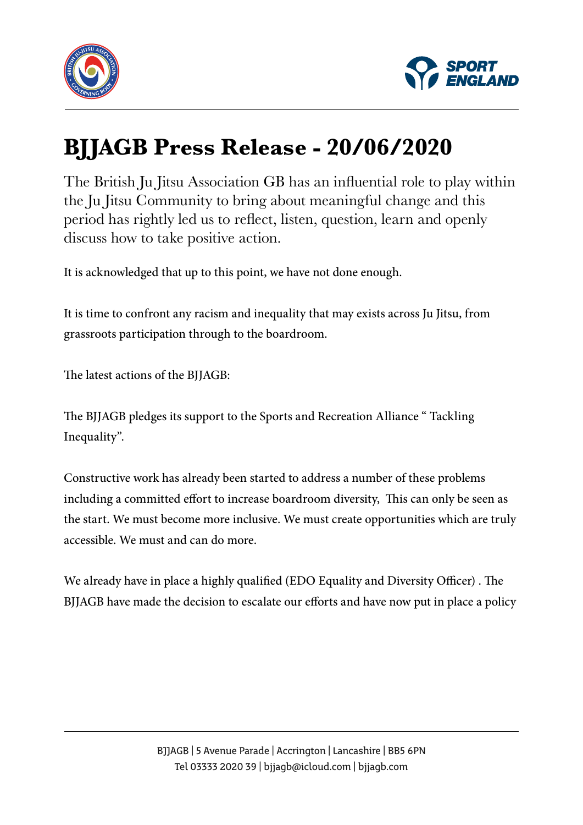



## **BJJAGB Press Release - 20/06/2020**

The British Ju Jitsu Association GB has an influential role to play within the Ju Jitsu Community to bring about meaningful change and this period has rightly led us to reflect, listen, question, learn and openly discuss how to take positive action.

It is acknowledged that up to this point, we have not done enough.

It is time to confront any racism and inequality that may exists across Ju Jitsu, from grassroots participation through to the boardroom.

The latest actions of the BJJAGB:

The BJJAGB pledges its support to the Sports and Recreation Alliance " Tackling Inequality".

Constructive work has already been started to address a number of these problems including a committed effort to increase boardroom diversity, This can only be seen as the start. We must become more inclusive. We must create opportunities which are truly accessible. We must and can do more.

We already have in place a highly qualified (EDO Equality and Diversity Officer) . The BJJAGB have made the decision to escalate our efforts and have now put in place a policy